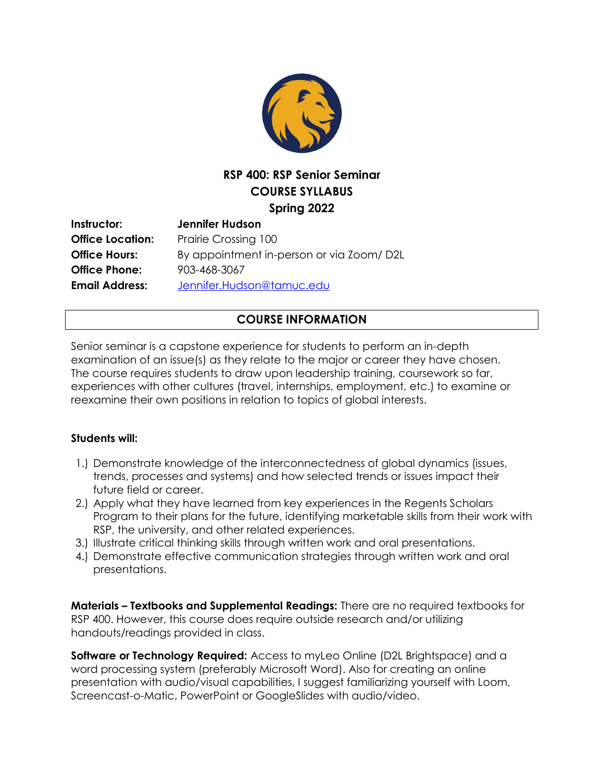

# **RSP 400: RSP Senior Seminar COURSE SYLLABUS Spring 2022**

| Instructor:             | Jennifer Hudson                          |
|-------------------------|------------------------------------------|
| <b>Office Location:</b> | Prairie Crossing 100                     |
| <b>Office Hours:</b>    | By appointment in-person or via Zoom/D2L |
| <b>Office Phone:</b>    | 903-468-3067                             |
| <b>Email Address:</b>   | Jennifer.Hudson@tamuc.edu                |

## **COURSE INFORMATION**

Senior seminar is a capstone experience for students to perform an in-depth examination of an issue(s) as they relate to the major or career they have chosen. The course requires students to draw upon leadership training, coursework so far, experiences with other cultures (travel, internships, employment, etc.) to examine or reexamine their own positions in relation to topics of global interests.

#### **Students will:**

- 1.) Demonstrate knowledge of the interconnectedness of global dynamics (issues, trends, processes and systems) and how selected trends or issues impact their future field or career.
- 2.) Apply what they have learned from key experiences in the Regents Scholars Program to their plans for the future, identifying marketable skills from their work with RSP, the university, and other related experiences.
- 3.) Illustrate critical thinking skills through written work and oral presentations.
- 4.) Demonstrate effective communication strategies through written work and oral presentations.

**Materials – Textbooks and Supplemental Readings:** There are no required textbooks for RSP 400. However, this course does require outside research and/or utilizing handouts/readings provided in class.

**Software or Technology Required:** Access to myLeo Online (D2L Brightspace) and a word processing system (preferably Microsoft Word). Also for creating an online presentation with audio/visual capabilities, I suggest familiarizing yourself with Loom, Screencast-o-Matic, PowerPoint or GoogleSlides with audio/video.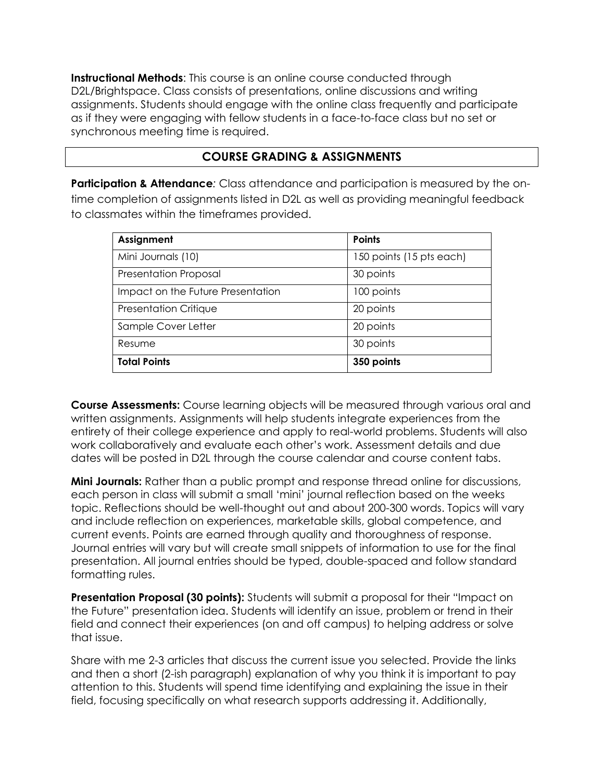**Instructional Methods**: This course is an online course conducted through D2L/Brightspace. Class consists of presentations, online discussions and writing assignments. Students should engage with the online class frequently and participate as if they were engaging with fellow students in a face-to-face class but no set or synchronous meeting time is required.

## **COURSE GRADING & ASSIGNMENTS**

**Participation & Attendance**: Class attendance and participation is measured by the ontime completion of assignments listed in D2L as well as providing meaningful feedback to classmates within the timeframes provided.

| Assignment                        | <b>Points</b>            |
|-----------------------------------|--------------------------|
| Mini Journals (10)                | 150 points (15 pts each) |
| <b>Presentation Proposal</b>      | 30 points                |
| Impact on the Future Presentation | 100 points               |
| Presentation Critique             | 20 points                |
| Sample Cover Letter               | 20 points                |
| Resume                            | 30 points                |
| <b>Total Points</b>               | 350 points               |

**Course Assessments:** Course learning objects will be measured through various oral and written assignments. Assignments will help students integrate experiences from the entirety of their college experience and apply to real-world problems. Students will also work collaboratively and evaluate each other's work. Assessment details and due dates will be posted in D2L through the course calendar and course content tabs.

**Mini Journals:** Rather than a public prompt and response thread online for discussions, each person in class will submit a small 'mini' journal reflection based on the weeks topic. Reflections should be well-thought out and about 200-300 words. Topics will vary and include reflection on experiences, marketable skills, global competence, and current events. Points are earned through quality and thoroughness of response. Journal entries will vary but will create small snippets of information to use for the final presentation. All journal entries should be typed, double-spaced and follow standard formatting rules.

**Presentation Proposal (30 points):** Students will submit a proposal for their "Impact on the Future" presentation idea. Students will identify an issue, problem or trend in their field and connect their experiences (on and off campus) to helping address or solve that issue.

Share with me 2-3 articles that discuss the current issue you selected. Provide the links and then a short (2-ish paragraph) explanation of why you think it is important to pay attention to this. Students will spend time identifying and explaining the issue in their field, focusing specifically on what research supports addressing it. Additionally,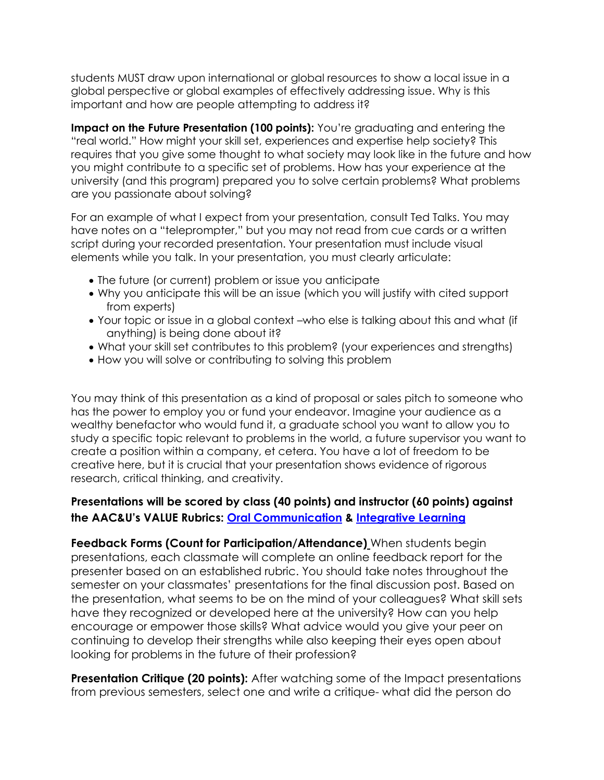students MUST draw upon international or global resources to show a local issue in a global perspective or global examples of effectively addressing issue. Why is this important and how are people attempting to address it?

**Impact on the Future Presentation (100 points):** You're graduating and entering the "real world." How might your skill set, experiences and expertise help society? This requires that you give some thought to what society may look like in the future and how you might contribute to a specific set of problems. How has your experience at the university (and this program) prepared you to solve certain problems? What problems are you passionate about solving?

For an example of what I expect from your presentation, consult Ted Talks. You may have notes on a "teleprompter," but you may not read from cue cards or a written script during your recorded presentation. Your presentation must include visual elements while you talk. In your presentation, you must clearly articulate:

- The future (or current) problem or issue you anticipate
- Why you anticipate this will be an issue (which you will justify with cited support from experts)
- Your topic or issue in a global context –who else is talking about this and what (if anything) is being done about it?
- What your skill set contributes to this problem? (your experiences and strengths)
- How you will solve or contributing to solving this problem

You may think of this presentation as a kind of proposal or sales pitch to someone who has the power to employ you or fund your endeavor. Imagine your audience as a wealthy benefactor who would fund it, a graduate school you want to allow you to study a specific topic relevant to problems in the world, a future supervisor you want to create a position within a company, et cetera. You have a lot of freedom to be creative here, but it is crucial that your presentation shows evidence of rigorous research, critical thinking, and creativity.

## **Presentations will be scored by class (40 points) and instructor (60 points) against the AAC&U's VALUE Rubrics: [Oral Communication](file:///C:/Users/HudsonJennifer/Documents/RSP%20&%20HC/OralCommunication.pdf) & [Integrative Learning](file:///C:/Users/HudsonJennifer/Documents/RSP%20&%20HC/integrativelearning.pdf)**

**Feedback Forms (Count for Participation/Attendance)** When students begin presentations, each classmate will complete an online feedback report for the presenter based on an established rubric. You should take notes throughout the semester on your classmates' presentations for the final discussion post. Based on the presentation, what seems to be on the mind of your colleagues? What skill sets have they recognized or developed here at the university? How can you help encourage or empower those skills? What advice would you give your peer on continuing to develop their strengths while also keeping their eyes open about looking for problems in the future of their profession?

**Presentation Critique (20 points):** After watching some of the Impact presentations from previous semesters, select one and write a critique- what did the person do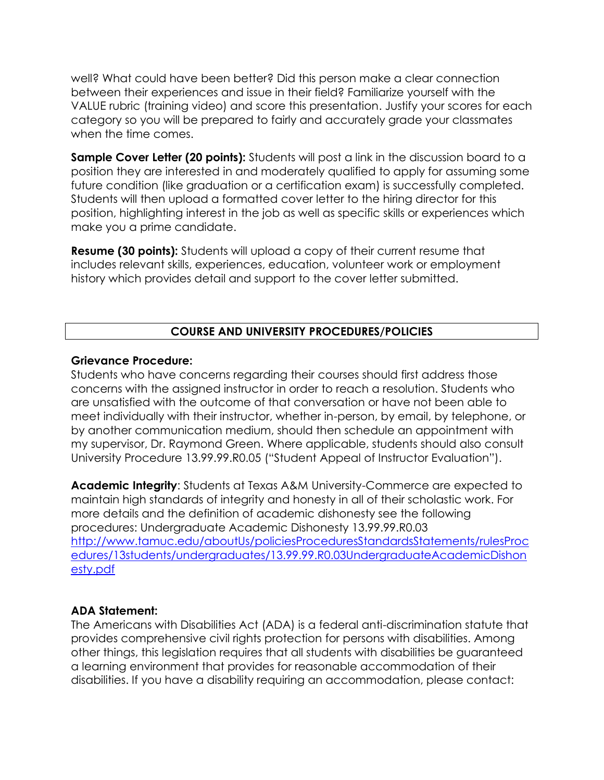well? What could have been better? Did this person make a clear connection between their experiences and issue in their field? Familiarize yourself with the VALUE rubric (training video) and score this presentation. Justify your scores for each category so you will be prepared to fairly and accurately grade your classmates when the time comes.

**Sample Cover Letter (20 points):** Students will post a link in the discussion board to a position they are interested in and moderately qualified to apply for assuming some future condition (like graduation or a certification exam) is successfully completed. Students will then upload a formatted cover letter to the hiring director for this position, highlighting interest in the job as well as specific skills or experiences which make you a prime candidate.

**Resume (30 points):** Students will upload a copy of their current resume that includes relevant skills, experiences, education, volunteer work or employment history which provides detail and support to the cover letter submitted.

## **COURSE AND UNIVERSITY PROCEDURES/POLICIES**

#### **Grievance Procedure:**

Students who have concerns regarding their courses should first address those concerns with the assigned instructor in order to reach a resolution. Students who are unsatisfied with the outcome of that conversation or have not been able to meet individually with their instructor, whether in-person, by email, by telephone, or by another communication medium, should then schedule an appointment with my supervisor, Dr. Raymond Green. Where applicable, students should also consult University Procedure 13.99.99.R0.05 ("Student Appeal of Instructor Evaluation").

**Academic Integrity**: Students at Texas A&M University-Commerce are expected to maintain high standards of integrity and honesty in all of their scholastic work. For more details and the definition of academic dishonesty see the following procedures: Undergraduate Academic Dishonesty 13.99.99.R0.03 [http://www.tamuc.edu/aboutUs/policiesProceduresStandardsStatements/rulesProc](http://www.tamuc.edu/aboutUs/policiesProceduresStandardsStatements/rulesProcedures/13students/undergraduates/13.99.99.R0.03UndergraduateAcademicDishonesty.pdf) [edures/13students/undergraduates/13.99.99.R0.03UndergraduateAcademicDishon](http://www.tamuc.edu/aboutUs/policiesProceduresStandardsStatements/rulesProcedures/13students/undergraduates/13.99.99.R0.03UndergraduateAcademicDishonesty.pdf) [esty.pdf](http://www.tamuc.edu/aboutUs/policiesProceduresStandardsStatements/rulesProcedures/13students/undergraduates/13.99.99.R0.03UndergraduateAcademicDishonesty.pdf)

#### **ADA Statement:**

The Americans with Disabilities Act (ADA) is a federal anti-discrimination statute that provides comprehensive civil rights protection for persons with disabilities. Among other things, this legislation requires that all students with disabilities be guaranteed a learning environment that provides for reasonable accommodation of their disabilities. If you have a disability requiring an accommodation, please contact: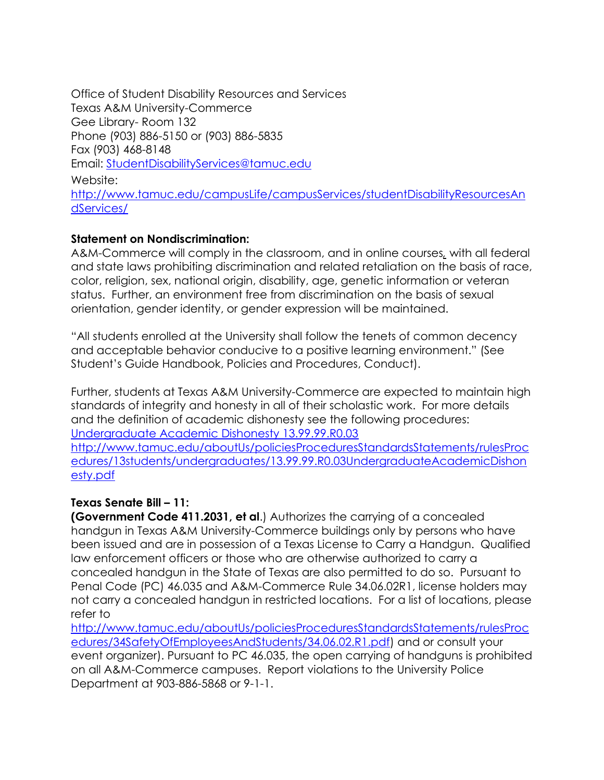Office of Student Disability Resources and Services Texas A&M University-Commerce Gee Library- Room 132 Phone (903) 886-5150 or (903) 886-5835 Fax (903) 468-8148 Email: [StudentDisabilityServices@tamuc.edu](mailto:StudentDisabilityServices@tamuc.edu) Website:

[http://www.tamuc.edu/campusLife/campusServices/studentDisabilityResourcesAn](http://www.tamuc.edu/campusLife/campusServices/studentDisabilityResourcesAndServices/) [dServices/](http://www.tamuc.edu/campusLife/campusServices/studentDisabilityResourcesAndServices/)

## **Statement on Nondiscrimination:**

A&M-Commerce will comply in the classroom, and in online courses*,* with all federal and state laws prohibiting discrimination and related retaliation on the basis of race, color, religion, sex, national origin, disability, age, genetic information or veteran status. Further, an environment free from discrimination on the basis of sexual orientation, gender identity, or gender expression will be maintained.

"All students enrolled at the University shall follow the tenets of common decency and acceptable behavior conducive to a positive learning environment." (See Student's Guide Handbook, Policies and Procedures, Conduct).

Further, students at Texas A&M University-Commerce are expected to maintain high standards of integrity and honesty in all of their scholastic work. For more details and the definition of academic dishonesty see the following procedures: [Undergraduate Academic Dishonesty 13.99.99.R0.03](http://www.tamuc.edu/aboutUs/policiesProceduresStandardsStatements/rulesProcedures/13students/undergraduates/13.99.99.R0.03UndergraduateAcademicDishonesty.pdf) [http://www.tamuc.edu/aboutUs/policiesProceduresStandardsStatements/rulesProc](http://www.tamuc.edu/aboutUs/policiesProceduresStandardsStatements/rulesProcedures/13students/undergraduates/13.99.99.R0.03UndergraduateAcademicDishonesty.pdf) [edures/13students/undergraduates/13.99.99.R0.03UndergraduateAcademicDishon](http://www.tamuc.edu/aboutUs/policiesProceduresStandardsStatements/rulesProcedures/13students/undergraduates/13.99.99.R0.03UndergraduateAcademicDishonesty.pdf) [esty.pdf](http://www.tamuc.edu/aboutUs/policiesProceduresStandardsStatements/rulesProcedures/13students/undergraduates/13.99.99.R0.03UndergraduateAcademicDishonesty.pdf)

#### **Texas Senate Bill – 11:**

**(Government Code 411.2031, et al**.) Authorizes the carrying of a concealed handgun in Texas A&M University-Commerce buildings only by persons who have been issued and are in possession of a Texas License to Carry a Handgun. Qualified law enforcement officers or those who are otherwise authorized to carry a concealed handgun in the State of Texas are also permitted to do so. Pursuant to Penal Code (PC) 46.035 and A&M-Commerce Rule 34.06.02R1, license holders may not carry a concealed handgun in restricted locations. For a list of locations, please refer to

[http://www.tamuc.edu/aboutUs/policiesProceduresStandardsStatements/rulesProc](http://www.tamuc.edu/aboutUs/policiesProceduresStandardsStatements/rulesProcedures/34SafetyOfEmployeesAndStudents/34.06.02.R1.pdf) [edures/34SafetyOfEmployeesAndStudents/34.06.02.R1.pdf\)](http://www.tamuc.edu/aboutUs/policiesProceduresStandardsStatements/rulesProcedures/34SafetyOfEmployeesAndStudents/34.06.02.R1.pdf) and or consult your event organizer). Pursuant to PC 46.035, the open carrying of handguns is prohibited on all A&M-Commerce campuses. Report violations to the University Police Department at 903-886-5868 or 9-1-1.